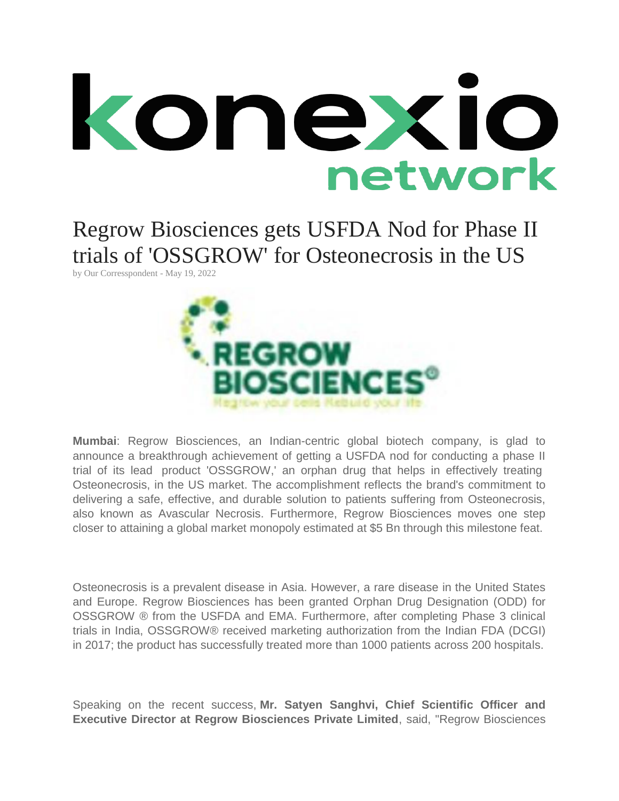

Regrow Biosciences gets USFDA Nod for Phase II trials of 'OSSGROW' for Osteonecrosis in the US

by [Our Corresspondent](https://konexionetwork.com/NewsDetails.aspx?newsid=f53c0ed9-9f19-48ff-ac23-23d5afc11c20) - May 19, 2022



**Mumbai**: Regrow Biosciences, an Indian-centric global biotech company, is glad to announce a breakthrough achievement of getting a USFDA nod for conducting a phase II trial of its lead product 'OSSGROW,' an orphan drug that helps in effectively treating Osteonecrosis, in the US market. The accomplishment reflects the brand's commitment to delivering a safe, effective, and durable solution to patients suffering from Osteonecrosis, also known as Avascular Necrosis. Furthermore, Regrow Biosciences moves one step closer to attaining a global market monopoly estimated at \$5 Bn through this milestone feat.

Osteonecrosis is a prevalent disease in Asia. However, a rare disease in the United States and Europe. Regrow Biosciences has been granted Orphan Drug Designation (ODD) for OSSGROW ® from the USFDA and EMA. Furthermore, after completing Phase 3 clinical trials in India, OSSGROW® received marketing authorization from the Indian FDA (DCGI) in 2017; the product has successfully treated more than 1000 patients across 200 hospitals.

Speaking on the recent success, **Mr. Satyen Sanghvi, Chief Scientific Officer and Executive Director at Regrow Biosciences Private Limited**, said, "Regrow Biosciences